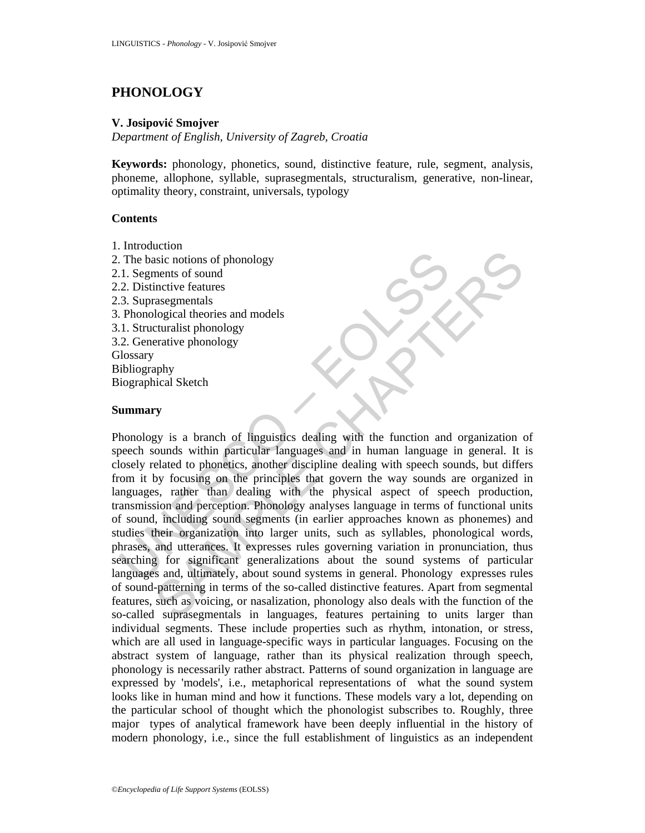# **PHONOLOGY**

# **V. Josipović Smojver**

*Department of English, University of Zagreb, Croatia* 

**Keywords:** phonology, phonetics, sound, distinctive feature, rule, segment, analysis, phoneme, allophone, syllable, suprasegmentals, structuralism, generative, non-linear, optimality theory, constraint, universals, typology

# **Contents**

- 1. Introduction
- 2. The basic notions of phonology
- 2.1. Segments of sound
- 2.2. Distinctive features
- 2.3. Suprasegmentals
- 3. Phonological theories and models
- 3.1. Structuralist phonology
- 3.2. Generative phonology

**Glossary** 

- Bibliography
- Biographical Sketch

# **Summary**

The basic notions of phonology<br>
1. Segments of sound<br>
2. Distinctive features<br>
2. Distinctive features<br>
2. Distinctive features<br>
2. Phonological theories and models<br>
1. Structuralist phonology<br>
2. Generative phonology<br>
2. Example the minitive frame and models<br>is in notions of phonology<br>ments of sound<br>are assegnentals<br>assegnentals<br>assegnentals<br>assegnentals<br>assegnentals<br>turalist phonology<br>privical Sketch<br>phy<br>thical Sketch<br>phy<br>thical Sketch<br>ph Phonology is a branch of linguistics dealing with the function and organization of speech sounds within particular languages and in human language in general. It is closely related to phonetics, another discipline dealing with speech sounds, but differs from it by focusing on the principles that govern the way sounds are organized in languages, rather than dealing with the physical aspect of speech production, transmission and perception. Phonology analyses language in terms of functional units of sound, including sound segments (in earlier approaches known as phonemes) and studies their organization into larger units, such as syllables, phonological words, phrases, and utterances. It expresses rules governing variation in pronunciation, thus searching for significant generalizations about the sound systems of particular languages and, ultimately, about sound systems in general. Phonology expresses rules of sound-patterning in terms of the so-called distinctive features. Apart from segmental features, such as voicing, or nasalization, phonology also deals with the function of the so-called suprasegmentals in languages, features pertaining to units larger than individual segments. These include properties such as rhythm, intonation, or stress, which are all used in language-specific ways in particular languages. Focusing on the abstract system of language, rather than its physical realization through speech, phonology is necessarily rather abstract. Patterns of sound organization in language are expressed by 'models', i.e., metaphorical representations of what the sound system looks like in human mind and how it functions. These models vary a lot, depending on the particular school of thought which the phonologist subscribes to. Roughly, three major types of analytical framework have been deeply influential in the history of modern phonology, i.e., since the full establishment of linguistics as an independent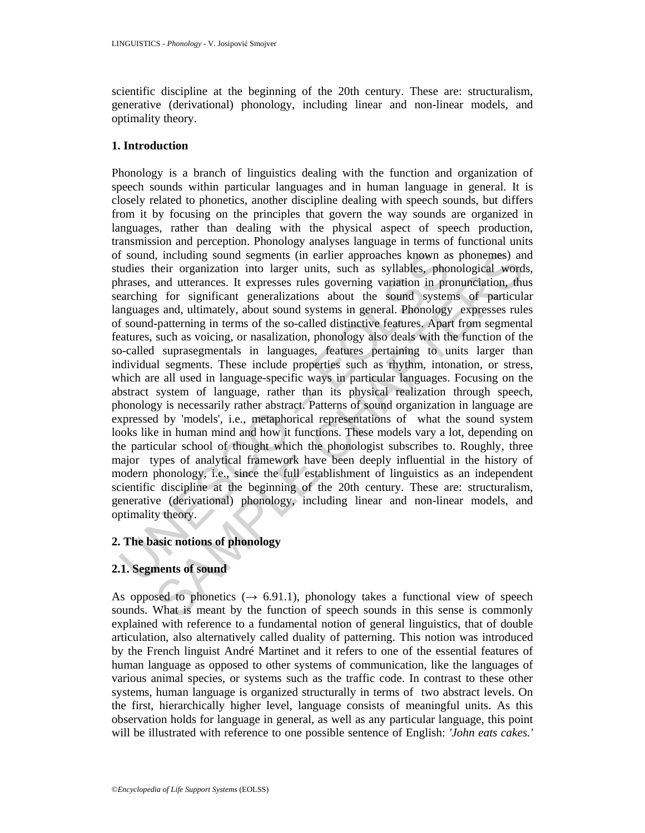scientific discipline at the beginning of the 20th century. These are: structuralism, generative (derivational) phonology, including linear and non-linear models, and optimality theory.

### **1. Introduction**

f sound, including sound segments (in earlier approaches known as<br>udies their organization into larger units, such as syllables, phor<br>araching for significant generalizations about the sound system<br>araching for significant l, including sound segments (in earlier approaches known as phonemes) an<br>heir organization into larger units, such as syllables, phonological word<br>and utterances. It expresses rules governing variation in pronunciation, t Phonology is a branch of linguistics dealing with the function and organization of speech sounds within particular languages and in human language in general. It is closely related to phonetics, another discipline dealing with speech sounds, but differs from it by focusing on the principles that govern the way sounds are organized in languages, rather than dealing with the physical aspect of speech production, transmission and perception. Phonology analyses language in terms of functional units of sound, including sound segments (in earlier approaches known as phonemes) and studies their organization into larger units, such as syllables, phonological words, phrases, and utterances. It expresses rules governing variation in pronunciation, thus searching for significant generalizations about the sound systems of particular languages and, ultimately, about sound systems in general. Phonology expresses rules of sound-patterning in terms of the so-called distinctive features. Apart from segmental features, such as voicing, or nasalization, phonology also deals with the function of the so-called suprasegmentals in languages, features pertaining to units larger than individual segments. These include properties such as rhythm, intonation, or stress, which are all used in language-specific ways in particular languages. Focusing on the abstract system of language, rather than its physical realization through speech, phonology is necessarily rather abstract. Patterns of sound organization in language are expressed by 'models', i.e., metaphorical representations of what the sound system looks like in human mind and how it functions. These models vary a lot, depending on the particular school of thought which the phonologist subscribes to. Roughly, three major types of analytical framework have been deeply influential in the history of modern phonology, i.e., since the full establishment of linguistics as an independent scientific discipline at the beginning of the 20th century. These are: structuralism, generative (derivational) phonology, including linear and non-linear models, and optimality theory.

## **2. The basic notions of phonology**

# **2.1. Segments of sound**

As opposed to phonetics ( $\rightarrow$  6.91.1), phonology takes a functional view of speech sounds. What is meant by the function of speech sounds in this sense is commonly explained with reference to a fundamental notion of general linguistics, that of double articulation, also alternatively called duality of patterning. This notion was introduced by the French linguist André Martinet and it refers to one of the essential features of human language as opposed to other systems of communication, like the languages of various animal species, or systems such as the traffic code. In contrast to these other systems, human language is organized structurally in terms of two abstract levels. On the first, hierarchically higher level, language consists of meaningful units. As this observation holds for language in general, as well as any particular language, this point will be illustrated with reference to one possible sentence of English: *'John eats cakes.'*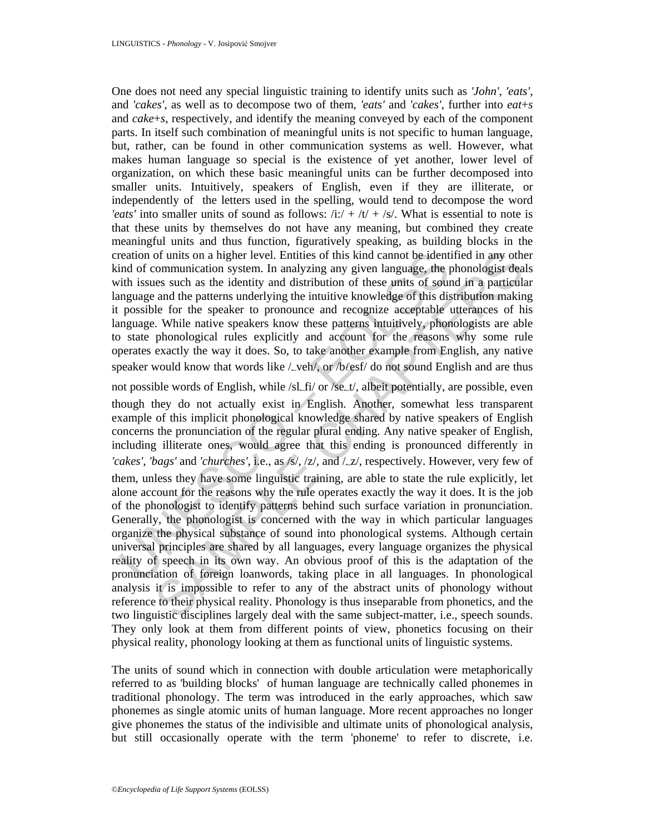One does not need any special linguistic training to identify units such as *'John'*, *'eats'*, and *'cakes'*, as well as to decompose two of them, *'eats'* and *'cakes'*, further into *eat*+*s* and *cake*+*s*, respectively, and identify the meaning conveyed by each of the component parts. In itself such combination of meaningful units is not specific to human language, but, rather, can be found in other communication systems as well. However, what makes human language so special is the existence of yet another, lower level of organization, on which these basic meaningful units can be further decomposed into smaller units. Intuitively, speakers of English, even if they are illiterate, or independently of the letters used in the spelling, would tend to decompose the word *'eats'* into smaller units of sound as follows:  $/i$ :/ +  $/t$  +  $/s$ . What is essential to note is that these units by themselves do not have any meaning, but combined they create meaningful units and thus function, figuratively speaking, as building blocks in the creation of units on a higher level. Entities of this kind cannot be identified in any other kind of communication system. In analyzing any given language, the phonologist deals with issues such as the identity and distribution of these units of sound in a particular language and the patterns underlying the intuitive knowledge of this distribution making it possible for the speaker to pronounce and recognize acceptable utterances of his language. While native speakers know these patterns intuitively, phonologists are able to state phonological rules explicitly and account for the reasons why some rule operates exactly the way it does. So, to take another example from English, any native speaker would know that words like  $\angle$ veh/, or /b $\angle$ esf/ do not sound English and are thus

reation of units on a higher level. Entities of this kind cannot be ident<br>ind of communication system. In analyzing any given language, the principal<br>exact as the identity and distribution of these units of sour-<br>ingrage a of units on a higher level. Entities of this kind cannot be identified in any other<br>communication system. In analyzing any given language, the phonologist deas<br>ces such as the identity and distribution of these units of s not possible words of English, while /sl\_fi/ or /se\_t/, albeit potentially, are possible, even though they do not actually exist in English. Another, somewhat less transparent example of this implicit phonological knowledge shared by native speakers of English concerns the pronunciation of the regular plural ending. Any native speaker of English, including illiterate ones, would agree that this ending is pronounced differently in *'cakes'*, *'bags'* and *'churches'*, i.e., as /s/, /z/, and /Lz/, respectively. However, very few of them, unless they have some linguistic training, are able to state the rule explicitly, let alone account for the reasons why the rule operates exactly the way it does. It is the job of the phonologist to identify patterns behind such surface variation in pronunciation. Generally, the phonologist is concerned with the way in which particular languages organize the physical substance of sound into phonological systems. Although certain universal principles are shared by all languages, every language organizes the physical reality of speech in its own way. An obvious proof of this is the adaptation of the pronunciation of foreign loanwords, taking place in all languages. In phonological analysis it is impossible to refer to any of the abstract units of phonology without reference to their physical reality. Phonology is thus inseparable from phonetics, and the two linguistic disciplines largely deal with the same subject-matter, i.e., speech sounds. They only look at them from different points of view, phonetics focusing on their physical reality, phonology looking at them as functional units of linguistic systems.

The units of sound which in connection with double articulation were metaphorically referred to as 'building blocks' of human language are technically called phonemes in traditional phonology. The term was introduced in the early approaches, which saw phonemes as single atomic units of human language. More recent approaches no longer give phonemes the status of the indivisible and ultimate units of phonological analysis, but still occasionally operate with the term 'phoneme' to refer to discrete, i.e.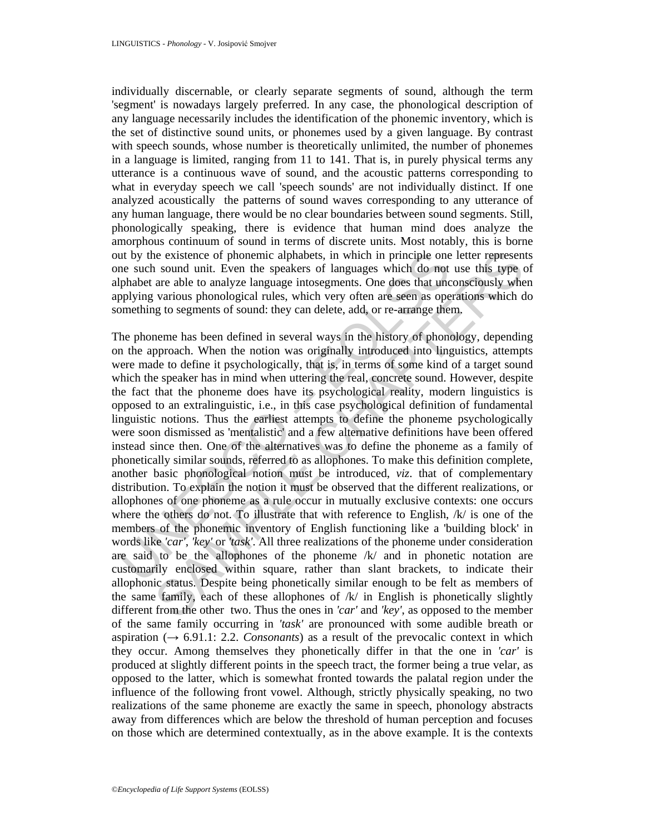individually discernable, or clearly separate segments of sound, although the term 'segment' is nowadays largely preferred. In any case, the phonological description of any language necessarily includes the identification of the phonemic inventory, which is the set of distinctive sound units, or phonemes used by a given language. By contrast with speech sounds, whose number is theoretically unlimited, the number of phonemes in a language is limited, ranging from 11 to 141. That is, in purely physical terms any utterance is a continuous wave of sound, and the acoustic patterns corresponding to what in everyday speech we call 'speech sounds' are not individually distinct. If one analyzed acoustically the patterns of sound waves corresponding to any utterance of any human language, there would be no clear boundaries between sound segments. Still, phonologically speaking, there is evidence that human mind does analyze the amorphous continuum of sound in terms of discrete units. Most notably, this is borne out by the existence of phonemic alphabets, in which in principle one letter represents one such sound unit. Even the speakers of languages which do not use this type of alphabet are able to analyze language intosegments. One does that unconsciously when applying various phonological rules, which very often are seen as operations which do something to segments of sound: they can delete, add, or re-arrange them.

ut by the existence of phonemic alphabets, in which in principle one<br>e such sound unit. Even the speakers of languages which do not<br>phabet are able to analyze language intosegnents. One does that uncopplying various phono is existence of phonemic alphabets, in which in principle one letter represent sound unit. Even the speakers of language swhich do not use this type various phonological rules, which very often are seen as operations whic The phoneme has been defined in several ways in the history of phonology, depending on the approach. When the notion was originally introduced into linguistics, attempts were made to define it psychologically, that is, in terms of some kind of a target sound which the speaker has in mind when uttering the real, concrete sound. However, despite the fact that the phoneme does have its psychological reality, modern linguistics is opposed to an extralinguistic, i.e., in this case psychological definition of fundamental linguistic notions. Thus the earliest attempts to define the phoneme psychologically were soon dismissed as 'mentalistic' and a few alternative definitions have been offered instead since then. One of the alternatives was to define the phoneme as a family of phonetically similar sounds, referred to as allophones. To make this definition complete, another basic phonological notion must be introduced, *viz*. that of complementary distribution. To explain the notion it must be observed that the different realizations, or allophones of one phoneme as a rule occur in mutually exclusive contexts: one occurs where the others do not. To illustrate that with reference to English,  $/k/$  is one of the members of the phonemic inventory of English functioning like a 'building block' in words like *'car'*, *'key'* or *'task'*. All three realizations of the phoneme under consideration are said to be the allophones of the phoneme /k/ and in phonetic notation are customarily enclosed within square, rather than slant brackets, to indicate their allophonic status. Despite being phonetically similar enough to be felt as members of the same family, each of these allophones of  $/k/$  in English is phonetically slightly different from the other two. Thus the ones in *'car'* and *'key'*, as opposed to the member of the same family occurring in *'task'* are pronounced with some audible breath or aspiration  $(\rightarrow 6.91.1: 2.2$ . *Consonants*) as a result of the prevocalic context in which they occur. Among themselves they phonetically differ in that the one in *'car'* is produced at slightly different points in the speech tract, the former being a true velar, as opposed to the latter, which is somewhat fronted towards the palatal region under the influence of the following front vowel. Although, strictly physically speaking, no two realizations of the same phoneme are exactly the same in speech, phonology abstracts away from differences which are below the threshold of human perception and focuses on those which are determined contextually, as in the above example. It is the contexts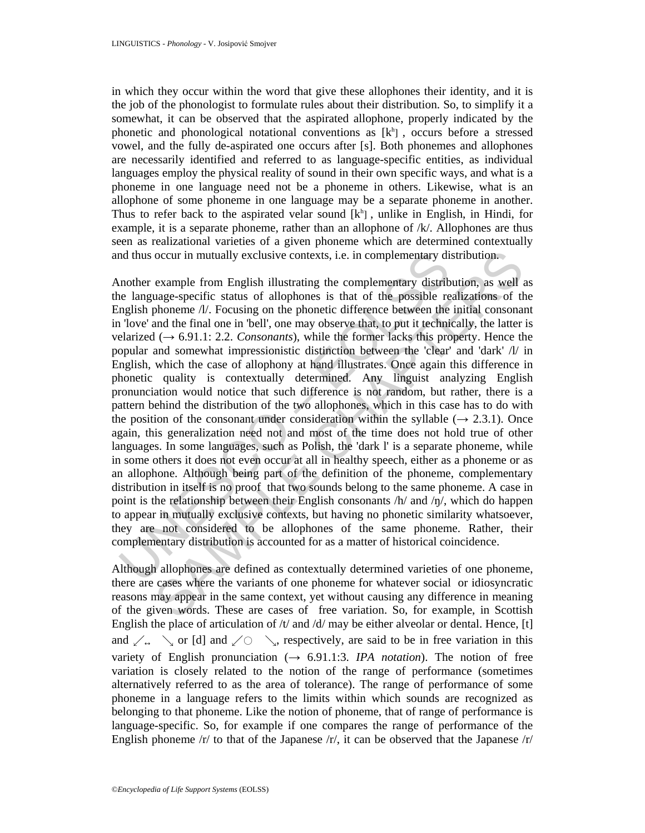in which they occur within the word that give these allophones their identity, and it is the job of the phonologist to formulate rules about their distribution. So, to simplify it a somewhat, it can be observed that the aspirated allophone, properly indicated by the phonetic and phonological notational conventions as  $[k^h]$ , occurs before a stressed vowel, and the fully de-aspirated one occurs after [s]. Both phonemes and allophones are necessarily identified and referred to as language-specific entities, as individual languages employ the physical reality of sound in their own specific ways, and what is a phoneme in one language need not be a phoneme in others. Likewise, what is an allophone of some phoneme in one language may be a separate phoneme in another. Thus to refer back to the aspirated velar sound  $[k<sup>h</sup>]$ , unlike in English, in Hindi, for example, it is a separate phoneme, rather than an allophone of /k/. Allophones are thus seen as realizational varieties of a given phoneme which are determined contextually and thus occur in mutually exclusive contexts, i.e. in complementary distribution.

nd thus occur in mutually exclusive contexts, i.e. in complementary di<br>nother example from English illustrating the complementary distrib<br>le language-specific status of allophones is that of the possible re<br>nglish phoneme occur in mutually exclusive contexts, i.e. in complementary distribution.<br>example from English illustrating the complementary distribution, as well ange-specific status of allophones is that of the possible realizations o Another example from English illustrating the complementary distribution, as well as the language-specific status of allophones is that of the possible realizations of the English phoneme /l/. Focusing on the phonetic difference between the initial consonant in 'love' and the final one in 'bell', one may observe that, to put it technically, the latter is velarized  $(\rightarrow 6.91.1: 2.2$ . *Consonants*), while the former lacks this property. Hence the popular and somewhat impressionistic distinction between the 'clear' and 'dark' /l/ in English, which the case of allophony at hand illustrates. Once again this difference in phonetic quality is contextually determined. Any linguist analyzing English pronunciation would notice that such difference is not random, but rather, there is a pattern behind the distribution of the two allophones, which in this case has to do with the position of the consonant under consideration within the syllable ( $\rightarrow$  2.3.1). Once again, this generalization need not and most of the time does not hold true of other languages. In some languages, such as Polish, the 'dark l' is a separate phoneme, while in some others it does not even occur at all in healthy speech, either as a phoneme or as an allophone. Although being part of the definition of the phoneme, complementary distribution in itself is no proof that two sounds belong to the same phoneme. A case in point is the relationship between their English consonants  $/h/$  and  $/h/$ , which do happen to appear in mutually exclusive contexts, but having no phonetic similarity whatsoever, they are not considered to be allophones of the same phoneme. Rather, their complementary distribution is accounted for as a matter of historical coincidence.

Although allophones are defined as contextually determined varieties of one phoneme, there are cases where the variants of one phoneme for whatever social or idiosyncratic reasons may appear in the same context, yet without causing any difference in meaning of the given words. These are cases of free variation. So, for example, in Scottish English the place of articulation of  $/t$  and  $/d$  may be either alveolar or dental. Hence, [t] and  $\angle$ .  $\sim$  or [d] and  $\angle$   $\sim$   $\sim$ , respectively, are said to be in free variation in this variety of English pronunciation  $(\rightarrow 6.91.1:3$ . *IPA notation*). The notion of free variation is closely related to the notion of the range of performance (sometimes alternatively referred to as the area of tolerance). The range of performance of some phoneme in a language refers to the limits within which sounds are recognized as belonging to that phoneme. Like the notion of phoneme, that of range of performance is language-specific. So, for example if one compares the range of performance of the English phoneme  $/r/$  to that of the Japanese  $/r/$ , it can be observed that the Japanese  $/r/$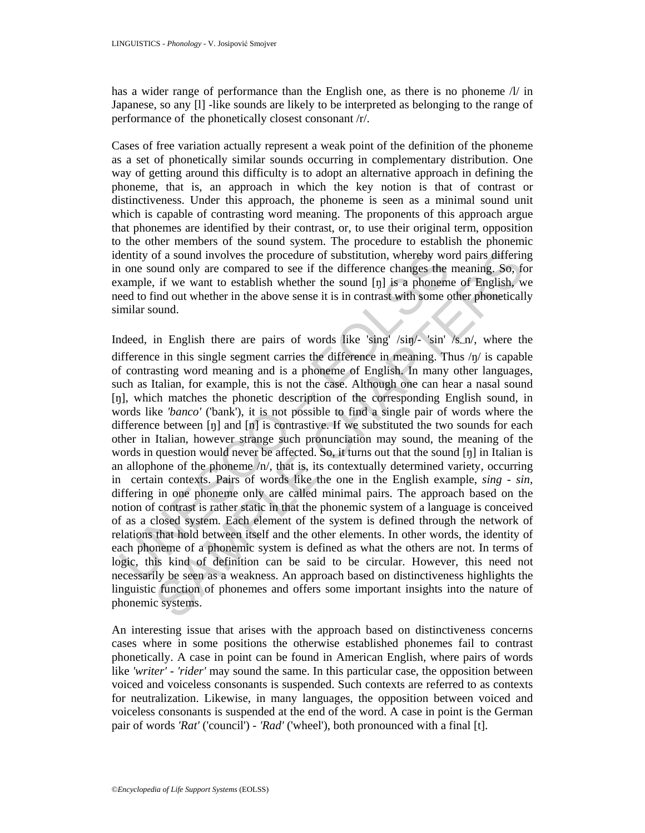has a wider range of performance than the English one, as there is no phoneme  $\Lambda$  in Japanese, so any [1] -like sounds are likely to be interpreted as belonging to the range of performance of the phonetically closest consonant /r/.

Cases of free variation actually represent a weak point of the definition of the phoneme as a set of phonetically similar sounds occurring in complementary distribution. One way of getting around this difficulty is to adopt an alternative approach in defining the phoneme, that is, an approach in which the key notion is that of contrast or distinctiveness. Under this approach, the phoneme is seen as a minimal sound unit which is capable of contrasting word meaning. The proponents of this approach argue that phonemes are identified by their contrast, or, to use their original term, opposition to the other members of the sound system. The procedure to establish the phonemic identity of a sound involves the procedure of substitution, whereby word pairs differing in one sound only are compared to see if the difference changes the meaning. So, for example, if we want to establish whether the sound [ŋ] is a phoneme of English, we need to find out whether in the above sense it is in contrast with some other phonetically similar sound.

lentity of a sound involves the procedure of substitution, whereby wo one sound only are compared to see if the difference changes the anallele, if we want to establish whether the sound [t]] is a phonem ested to find out of a sound involves the procedure of substitution, whereby word pairs differing<br>und only are compared to see if the difference changes the meaning. So, for<br>the if if we want to establish whether the sound [1] is a phoneme Indeed, in English there are pairs of words like 'sing' /sin/- 'sin' /s\_n/, where the difference in this single segment carries the difference in meaning. Thus  $/\eta$  is capable of contrasting word meaning and is a phoneme of English. In many other languages, such as Italian, for example, this is not the case. Although one can hear a nasal sound [ŋ], which matches the phonetic description of the corresponding English sound, in words like *'banco'* ('bank'), it is not possible to find a single pair of words where the difference between  $[\eta]$  and  $[\eta]$  is contrastive. If we substituted the two sounds for each other in Italian, however strange such pronunciation may sound, the meaning of the words in question would never be affected. So, it turns out that the sound [ŋ] in Italian is an allophone of the phoneme  $/n/$ , that is, its contextually determined variety, occurring in certain contexts. Pairs of words like the one in the English example, *sing - sin*, differing in one phoneme only are called minimal pairs. The approach based on the notion of contrast is rather static in that the phonemic system of a language is conceived of as a closed system. Each element of the system is defined through the network of relations that hold between itself and the other elements. In other words, the identity of each phoneme of a phonemic system is defined as what the others are not. In terms of logic, this kind of definition can be said to be circular. However, this need not necessarily be seen as a weakness. An approach based on distinctiveness highlights the linguistic function of phonemes and offers some important insights into the nature of phonemic systems.

An interesting issue that arises with the approach based on distinctiveness concerns cases where in some positions the otherwise established phonemes fail to contrast phonetically. A case in point can be found in American English, where pairs of words like *'writer'* - *'rider'* may sound the same. In this particular case, the opposition between voiced and voiceless consonants is suspended. Such contexts are referred to as contexts for neutralization. Likewise, in many languages, the opposition between voiced and voiceless consonants is suspended at the end of the word. A case in point is the German pair of words *'Rat'* ('council') - *'Rad'* ('wheel'), both pronounced with a final [t].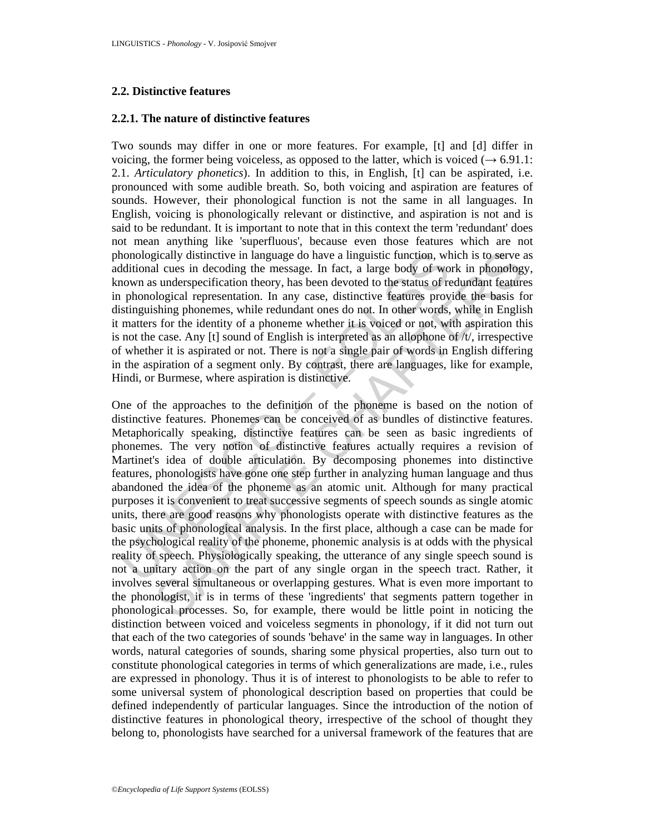### **2.2. Distinctive features**

### **2.2.1. The nature of distinctive features**

Two sounds may differ in one or more features. For example, [t] and [d] differ in voicing, the former being voiceless, as opposed to the latter, which is voiced ( $\rightarrow$  6.91.1: 2.1. *Articulatory phonetics*). In addition to this, in English, [t] can be aspirated, i.e. pronounced with some audible breath. So, both voicing and aspiration are features of sounds. However, their phonological function is not the same in all languages. In English, voicing is phonologically relevant or distinctive, and aspiration is not and is said to be redundant. It is important to note that in this context the term 'redundant' does not mean anything like 'superfluous', because even those features which are not phonologically distinctive in language do have a linguistic function, which is to serve as additional cues in decoding the message. In fact, a large body of work in phonology, known as underspecification theory, has been devoted to the status of redundant features in phonological representation. In any case, distinctive features provide the basis for distinguishing phonemes, while redundant ones do not. In other words, while in English it matters for the identity of a phoneme whether it is voiced or not, with aspiration this is not the case. Any [t] sound of English is interpreted as an allophone of  $/t$ , irrespective of whether it is aspirated or not. There is not a single pair of words in English differing in the aspiration of a segment only. By contrast, there are languages, like for example, Hindi, or Burmese, where aspiration is distinctive.

honologically distinctive in language do have a linguistic function, wh<br>dditional cues in decoding the message. In fact, a large body of wo<br>nomon as underspecification theory, has been devoted to the status of re<br>nonon-mas gically distinctive in language do have a linguistic function, which is to serve a<br>id cues in decoding the message. In fact, a large body of work in phonology<br>sustuerspecification theory, has been devoted to the status of One of the approaches to the definition of the phoneme is based on the notion of distinctive features. Phonemes can be conceived of as bundles of distinctive features. Metaphorically speaking, distinctive features can be seen as basic ingredients of phonemes. The very notion of distinctive features actually requires a revision of Martinet's idea of double articulation. By decomposing phonemes into distinctive features, phonologists have gone one step further in analyzing human language and thus abandoned the idea of the phoneme as an atomic unit. Although for many practical purposes it is convenient to treat successive segments of speech sounds as single atomic units, there are good reasons why phonologists operate with distinctive features as the basic units of phonological analysis. In the first place, although a case can be made for the psychological reality of the phoneme, phonemic analysis is at odds with the physical reality of speech. Physiologically speaking, the utterance of any single speech sound is not a unitary action on the part of any single organ in the speech tract. Rather, it involves several simultaneous or overlapping gestures. What is even more important to the phonologist, it is in terms of these 'ingredients' that segments pattern together in phonological processes. So, for example, there would be little point in noticing the distinction between voiced and voiceless segments in phonology, if it did not turn out that each of the two categories of sounds 'behave' in the same way in languages. In other words, natural categories of sounds, sharing some physical properties, also turn out to constitute phonological categories in terms of which generalizations are made, i.e., rules are expressed in phonology. Thus it is of interest to phonologists to be able to refer to some universal system of phonological description based on properties that could be defined independently of particular languages. Since the introduction of the notion of distinctive features in phonological theory, irrespective of the school of thought they belong to, phonologists have searched for a universal framework of the features that are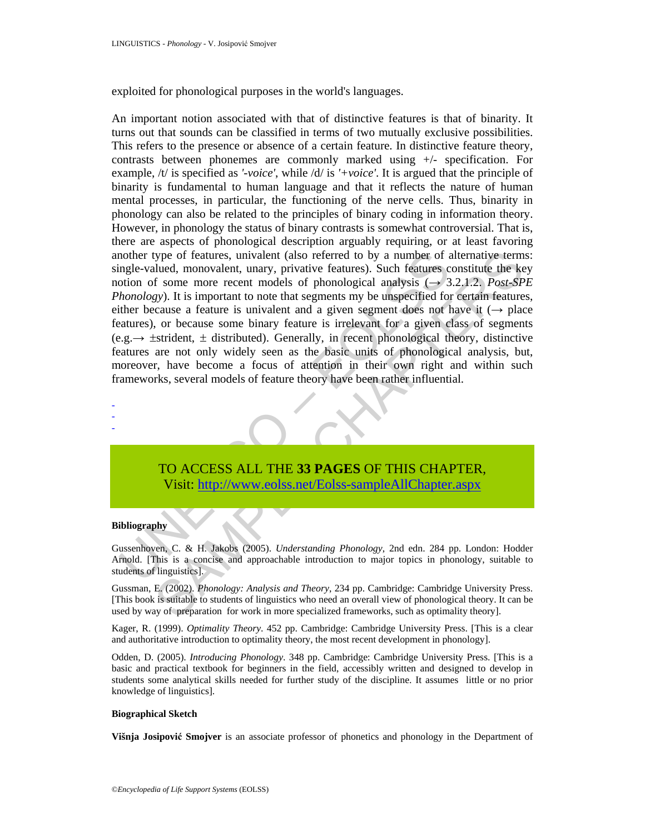exploited for phonological purposes in the world's languages.

nother type of features, univalent (also referred to by a number of angle-valued, monovalent, unary, privative features). Such features otion of some more recent models of phonological analysis ( $\rightarrow$  3*honology*). It is im stype of features, univalent (also referred to by a number of alternative terms<br>
uculud, monovalent, unary, privative features.) Such features constitute the keat<br>
f some more recent models of phonological analysis ( $\rightarrow$  An important notion associated with that of distinctive features is that of binarity. It turns out that sounds can be classified in terms of two mutually exclusive possibilities. This refers to the presence or absence of a certain feature. In distinctive feature theory, contrasts between phonemes are commonly marked using +/- specification. For example, /t/ is specified as *'-voice'*, while /d/ is *'+voice'*. It is argued that the principle of binarity is fundamental to human language and that it reflects the nature of human mental processes, in particular, the functioning of the nerve cells. Thus, binarity in phonology can also be related to the principles of binary coding in information theory. However, in phonology the status of binary contrasts is somewhat controversial. That is, there are aspects of phonological description arguably requiring, or at least favoring another type of features, univalent (also referred to by a number of alternative terms: single-valued, monovalent, unary, privative features). Such features constitute the key notion of some more recent models of phonological analysis  $(\rightarrow 3.2.1.2.$  *Post-SPE Phonology*). It is important to note that segments my be unspecified for certain features, either because a feature is univalent and a given segment does not have it  $(\rightarrow$  place features), or because some binary feature is irrelevant for a given class of segments  $(e.g. \rightarrow \pm \text{stricted})$ . Generally, in recent phonological theory, distinctive features are not only widely seen as the basic units of phonological analysis, but, moreover, have become a focus of attention in their own right and within such frameworks, several models of feature theory have been rather influential.

TO ACCESS ALL THE **33 PAGES** OF THIS CHAPTER, Visit: http://www.eolss.net/Eolss-sampleAllChapter.aspx

#### **Bibliography**

- - -

Gussenhoven, C. & H. Jakobs (2005). *Understanding Phonology*, 2nd edn. 284 pp. London: Hodder Arnold. [This is a concise and approachable introduction to major topics in phonology, suitable to students of linguistics].

Gussman, E. (2002). *Phonology: Analysis and Theory*, 234 pp. Cambridge: Cambridge University Press. [This book is suitable to students of linguistics who need an overall view of phonological theory. It can be used by way of preparation for work in more specialized frameworks, such as optimality theory].

Kager, R. (1999). *Optimality Theory*. 452 pp. Cambridge: Cambridge University Press. [This is a clear and authoritative introduction to optimality theory, the most recent development in phonology].

Odden, D. (2005). *Introducing Phonology*. 348 pp. Cambridge: Cambridge University Press. [This is a basic and practical textbook for beginners in the field, accessibly written and designed to develop in students some analytical skills needed for further study of the discipline. It assumes little or no prior knowledge of linguistics].

#### **Biographical Sketch**

**Višnja Josipović Smojver** is an associate professor of phonetics and phonology in the Department of